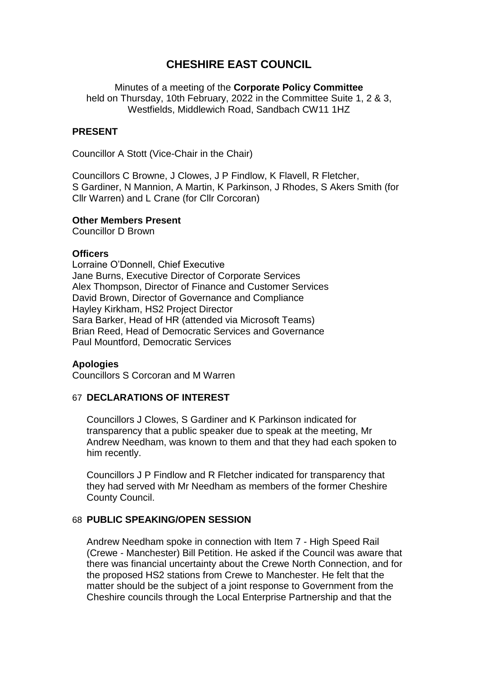# **CHESHIRE EAST COUNCIL**

Minutes of a meeting of the **Corporate Policy Committee** held on Thursday, 10th February, 2022 in the Committee Suite 1, 2 & 3, Westfields, Middlewich Road, Sandbach CW11 1HZ

### **PRESENT**

Councillor A Stott (Vice-Chair in the Chair)

Councillors C Browne, J Clowes, J P Findlow, K Flavell, R Fletcher, S Gardiner, N Mannion, A Martin, K Parkinson, J Rhodes, S Akers Smith (for Cllr Warren) and L Crane (for Cllr Corcoran)

#### **Other Members Present**

Councillor D Brown

#### **Officers**

Lorraine O'Donnell, Chief Executive Jane Burns, Executive Director of Corporate Services Alex Thompson, Director of Finance and Customer Services David Brown, Director of Governance and Compliance Hayley Kirkham, HS2 Project Director Sara Barker, Head of HR (attended via Microsoft Teams) Brian Reed, Head of Democratic Services and Governance Paul Mountford, Democratic Services

### **Apologies**

Councillors S Corcoran and M Warren

### 67 **DECLARATIONS OF INTEREST**

Councillors J Clowes, S Gardiner and K Parkinson indicated for transparency that a public speaker due to speak at the meeting, Mr Andrew Needham, was known to them and that they had each spoken to him recently.

Councillors J P Findlow and R Fletcher indicated for transparency that they had served with Mr Needham as members of the former Cheshire County Council.

### 68 **PUBLIC SPEAKING/OPEN SESSION**

Andrew Needham spoke in connection with Item 7 - High Speed Rail (Crewe - Manchester) Bill Petition. He asked if the Council was aware that there was financial uncertainty about the Crewe North Connection, and for the proposed HS2 stations from Crewe to Manchester. He felt that the matter should be the subject of a joint response to Government from the Cheshire councils through the Local Enterprise Partnership and that the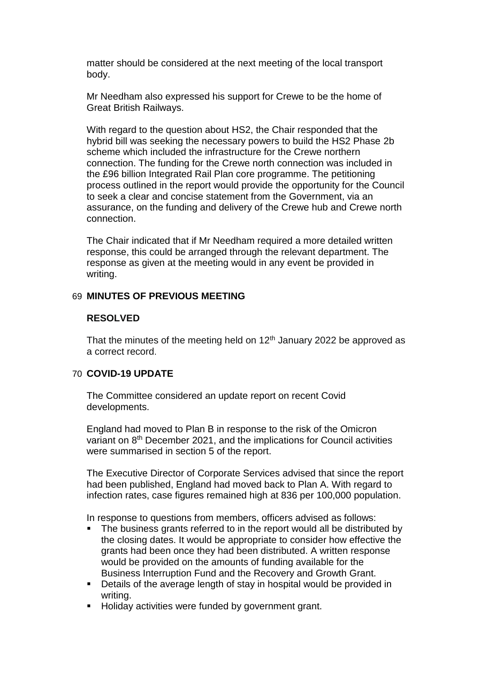matter should be considered at the next meeting of the local transport body.

Mr Needham also expressed his support for Crewe to be the home of Great British Railways.

With regard to the question about HS2, the Chair responded that the hybrid bill was seeking the necessary powers to build the HS2 Phase 2b scheme which included the infrastructure for the Crewe northern connection. The funding for the Crewe north connection was included in the £96 billion Integrated Rail Plan core programme. The petitioning process outlined in the report would provide the opportunity for the Council to seek a clear and concise statement from the Government, via an assurance, on the funding and delivery of the Crewe hub and Crewe north connection.

The Chair indicated that if Mr Needham required a more detailed written response, this could be arranged through the relevant department. The response as given at the meeting would in any event be provided in writing.

## 69 **MINUTES OF PREVIOUS MEETING**

### **RESOLVED**

That the minutes of the meeting held on  $12<sup>th</sup>$  January 2022 be approved as a correct record.

## 70 **COVID-19 UPDATE**

The Committee considered an update report on recent Covid developments.

England had moved to Plan B in response to the risk of the Omicron variant on 8<sup>th</sup> December 2021, and the implications for Council activities were summarised in section 5 of the report.

The Executive Director of Corporate Services advised that since the report had been published, England had moved back to Plan A. With regard to infection rates, case figures remained high at 836 per 100,000 population.

In response to questions from members, officers advised as follows:

- The business grants referred to in the report would all be distributed by the closing dates. It would be appropriate to consider how effective the grants had been once they had been distributed. A written response would be provided on the amounts of funding available for the Business Interruption Fund and the Recovery and Growth Grant.
- Details of the average length of stay in hospital would be provided in writing.
- **Holiday activities were funded by government grant.**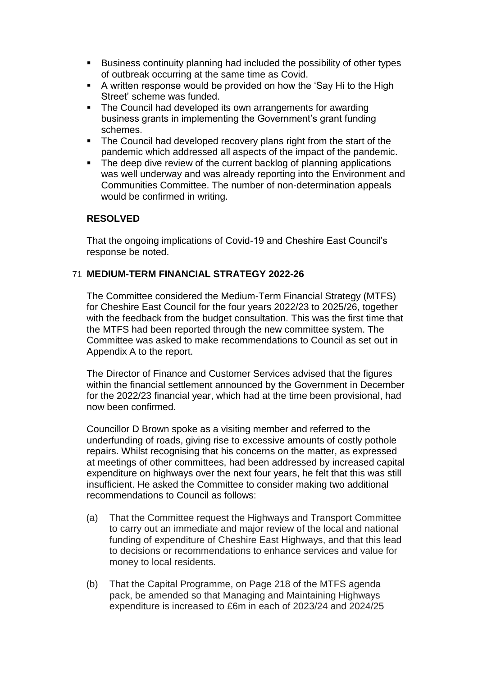- Business continuity planning had included the possibility of other types of outbreak occurring at the same time as Covid.
- A written response would be provided on how the 'Say Hi to the High Street' scheme was funded.
- The Council had developed its own arrangements for awarding business grants in implementing the Government's grant funding schemes.
- The Council had developed recovery plans right from the start of the pandemic which addressed all aspects of the impact of the pandemic.
- The deep dive review of the current backlog of planning applications was well underway and was already reporting into the Environment and Communities Committee. The number of non-determination appeals would be confirmed in writing.

## **RESOLVED**

That the ongoing implications of Covid-19 and Cheshire East Council's response be noted.

### 71 **MEDIUM-TERM FINANCIAL STRATEGY 2022-26**

The Committee considered the Medium-Term Financial Strategy (MTFS) for Cheshire East Council for the four years 2022/23 to 2025/26, together with the feedback from the budget consultation. This was the first time that the MTFS had been reported through the new committee system. The Committee was asked to make recommendations to Council as set out in Appendix A to the report.

The Director of Finance and Customer Services advised that the figures within the financial settlement announced by the Government in December for the 2022/23 financial year, which had at the time been provisional, had now been confirmed.

Councillor D Brown spoke as a visiting member and referred to the underfunding of roads, giving rise to excessive amounts of costly pothole repairs. Whilst recognising that his concerns on the matter, as expressed at meetings of other committees, had been addressed by increased capital expenditure on highways over the next four years, he felt that this was still insufficient. He asked the Committee to consider making two additional recommendations to Council as follows:

- (a) That the Committee request the Highways and Transport Committee to carry out an immediate and major review of the local and national funding of expenditure of Cheshire East Highways, and that this lead to decisions or recommendations to enhance services and value for money to local residents.
- (b) That the Capital Programme, on Page 218 of the MTFS agenda pack, be amended so that Managing and Maintaining Highways expenditure is increased to £6m in each of 2023/24 and 2024/25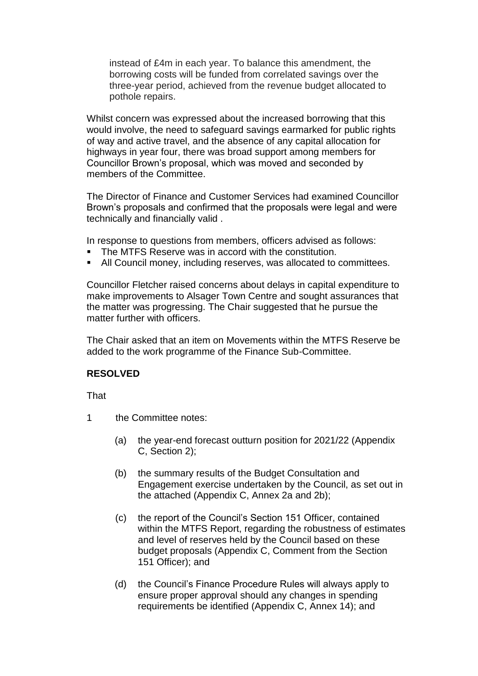instead of £4m in each year. To balance this amendment, the borrowing costs will be funded from correlated savings over the three-year period, achieved from the revenue budget allocated to pothole repairs.

Whilst concern was expressed about the increased borrowing that this would involve, the need to safeguard savings earmarked for public rights of way and active travel, and the absence of any capital allocation for highways in year four, there was broad support among members for Councillor Brown's proposal, which was moved and seconded by members of the Committee.

The Director of Finance and Customer Services had examined Councillor Brown's proposals and confirmed that the proposals were legal and were technically and financially valid .

In response to questions from members, officers advised as follows:

- The MTFS Reserve was in accord with the constitution.
- All Council money, including reserves, was allocated to committees.

Councillor Fletcher raised concerns about delays in capital expenditure to make improvements to Alsager Town Centre and sought assurances that the matter was progressing. The Chair suggested that he pursue the matter further with officers.

The Chair asked that an item on Movements within the MTFS Reserve be added to the work programme of the Finance Sub-Committee.

### **RESOLVED**

**That** 

1 the Committee notes:

- (a) the year-end forecast outturn position for 2021/22 (Appendix C, Section 2);
- (b) the summary results of the Budget Consultation and Engagement exercise undertaken by the Council, as set out in the attached (Appendix C, Annex 2a and 2b);
- (c) the report of the Council's Section 151 Officer, contained within the MTFS Report, regarding the robustness of estimates and level of reserves held by the Council based on these budget proposals (Appendix C, Comment from the Section 151 Officer); and
- (d) the Council's Finance Procedure Rules will always apply to ensure proper approval should any changes in spending requirements be identified (Appendix C, Annex 14); and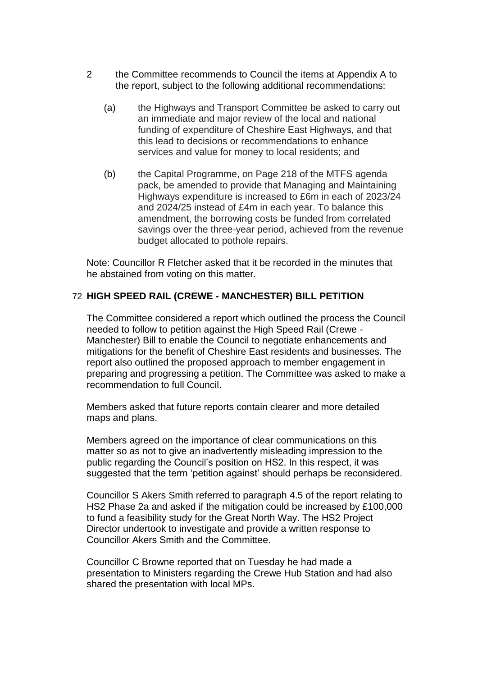- 2 the Committee recommends to Council the items at Appendix A to the report, subject to the following additional recommendations:
	- (a) the Highways and Transport Committee be asked to carry out an immediate and major review of the local and national funding of expenditure of Cheshire East Highways, and that this lead to decisions or recommendations to enhance services and value for money to local residents; and
	- (b) the Capital Programme, on Page 218 of the MTFS agenda pack, be amended to provide that Managing and Maintaining Highways expenditure is increased to £6m in each of 2023/24 and 2024/25 instead of £4m in each year. To balance this amendment, the borrowing costs be funded from correlated savings over the three-year period, achieved from the revenue budget allocated to pothole repairs.

Note: Councillor R Fletcher asked that it be recorded in the minutes that he abstained from voting on this matter.

## 72 **HIGH SPEED RAIL (CREWE - MANCHESTER) BILL PETITION**

The Committee considered a report which outlined the process the Council needed to follow to petition against the High Speed Rail (Crewe - Manchester) Bill to enable the Council to negotiate enhancements and mitigations for the benefit of Cheshire East residents and businesses. The report also outlined the proposed approach to member engagement in preparing and progressing a petition. The Committee was asked to make a recommendation to full Council.

Members asked that future reports contain clearer and more detailed maps and plans.

Members agreed on the importance of clear communications on this matter so as not to give an inadvertently misleading impression to the public regarding the Council's position on HS2. In this respect, it was suggested that the term 'petition against' should perhaps be reconsidered.

Councillor S Akers Smith referred to paragraph 4.5 of the report relating to HS2 Phase 2a and asked if the mitigation could be increased by £100,000 to fund a feasibility study for the Great North Way. The HS2 Project Director undertook to investigate and provide a written response to Councillor Akers Smith and the Committee.

Councillor C Browne reported that on Tuesday he had made a presentation to Ministers regarding the Crewe Hub Station and had also shared the presentation with local MPs.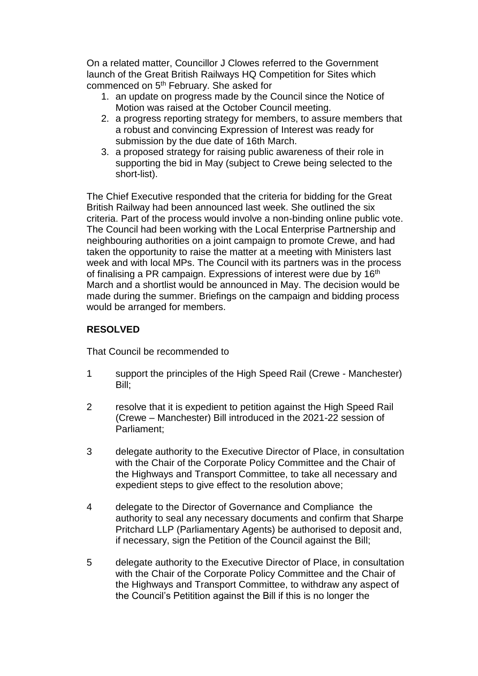On a related matter, Councillor J Clowes referred to the Government launch of the Great British Railways HQ Competition for Sites which commenced on 5th February. She asked for

- 1. an update on progress made by the Council since the Notice of Motion was raised at the October Council meeting.
- 2. a progress reporting strategy for members, to assure members that a robust and convincing Expression of Interest was ready for submission by the due date of 16th March.
- 3. a proposed strategy for raising public awareness of their role in supporting the bid in May (subject to Crewe being selected to the short-list).

The Chief Executive responded that the criteria for bidding for the Great British Railway had been announced last week. She outlined the six criteria. Part of the process would involve a non-binding online public vote. The Council had been working with the Local Enterprise Partnership and neighbouring authorities on a joint campaign to promote Crewe, and had taken the opportunity to raise the matter at a meeting with Ministers last week and with local MPs. The Council with its partners was in the process of finalising a PR campaign. Expressions of interest were due by 16<sup>th</sup> March and a shortlist would be announced in May. The decision would be made during the summer. Briefings on the campaign and bidding process would be arranged for members.

## **RESOLVED**

That Council be recommended to

- 1 support the principles of the High Speed Rail (Crewe Manchester) Bill;
- 2 resolve that it is expedient to petition against the High Speed Rail (Crewe – Manchester) Bill introduced in the 2021-22 session of Parliament;
- 3 delegate authority to the Executive Director of Place, in consultation with the Chair of the Corporate Policy Committee and the Chair of the Highways and Transport Committee, to take all necessary and expedient steps to give effect to the resolution above;
- 4 delegate to the Director of Governance and Compliance the authority to seal any necessary documents and confirm that Sharpe Pritchard LLP (Parliamentary Agents) be authorised to deposit and, if necessary, sign the Petition of the Council against the Bill;
- 5 delegate authority to the Executive Director of Place, in consultation with the Chair of the Corporate Policy Committee and the Chair of the Highways and Transport Committee, to withdraw any aspect of the Council's Petitition against the Bill if this is no longer the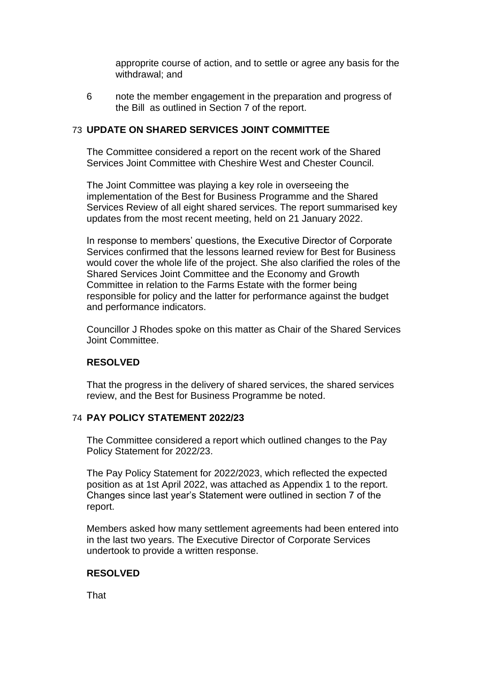approprite course of action, and to settle or agree any basis for the withdrawal; and

6 note the member engagement in the preparation and progress of the Bill as outlined in Section 7 of the report.

### 73 **UPDATE ON SHARED SERVICES JOINT COMMITTEE**

The Committee considered a report on the recent work of the Shared Services Joint Committee with Cheshire West and Chester Council.

The Joint Committee was playing a key role in overseeing the implementation of the Best for Business Programme and the Shared Services Review of all eight shared services. The report summarised key updates from the most recent meeting, held on 21 January 2022.

In response to members' questions, the Executive Director of Corporate Services confirmed that the lessons learned review for Best for Business would cover the whole life of the project. She also clarified the roles of the Shared Services Joint Committee and the Economy and Growth Committee in relation to the Farms Estate with the former being responsible for policy and the latter for performance against the budget and performance indicators.

Councillor J Rhodes spoke on this matter as Chair of the Shared Services Joint Committee.

## **RESOLVED**

That the progress in the delivery of shared services, the shared services review, and the Best for Business Programme be noted.

## 74 **PAY POLICY STATEMENT 2022/23**

The Committee considered a report which outlined changes to the Pay Policy Statement for 2022/23.

The Pay Policy Statement for 2022/2023, which reflected the expected position as at 1st April 2022, was attached as Appendix 1 to the report. Changes since last year's Statement were outlined in section 7 of the report.

Members asked how many settlement agreements had been entered into in the last two years. The Executive Director of Corporate Services undertook to provide a written response.

## **RESOLVED**

That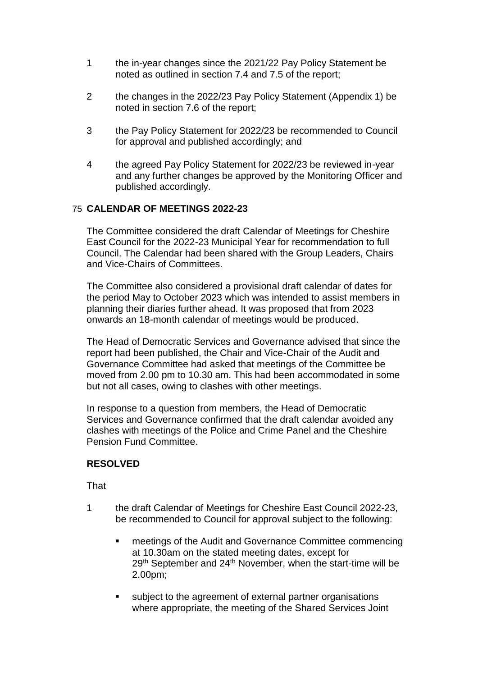- 1 the in-year changes since the 2021/22 Pay Policy Statement be noted as outlined in section 7.4 and 7.5 of the report;
- 2 the changes in the 2022/23 Pay Policy Statement (Appendix 1) be noted in section 7.6 of the report;
- 3 the Pay Policy Statement for 2022/23 be recommended to Council for approval and published accordingly; and
- 4 the agreed Pay Policy Statement for 2022/23 be reviewed in-year and any further changes be approved by the Monitoring Officer and published accordingly.

## 75 **CALENDAR OF MEETINGS 2022-23**

The Committee considered the draft Calendar of Meetings for Cheshire East Council for the 2022-23 Municipal Year for recommendation to full Council. The Calendar had been shared with the Group Leaders, Chairs and Vice-Chairs of Committees.

The Committee also considered a provisional draft calendar of dates for the period May to October 2023 which was intended to assist members in planning their diaries further ahead. It was proposed that from 2023 onwards an 18-month calendar of meetings would be produced.

The Head of Democratic Services and Governance advised that since the report had been published, the Chair and Vice-Chair of the Audit and Governance Committee had asked that meetings of the Committee be moved from 2.00 pm to 10.30 am. This had been accommodated in some but not all cases, owing to clashes with other meetings.

In response to a question from members, the Head of Democratic Services and Governance confirmed that the draft calendar avoided any clashes with meetings of the Police and Crime Panel and the Cheshire Pension Fund Committee.

## **RESOLVED**

That

- 1 the draft Calendar of Meetings for Cheshire East Council 2022-23, be recommended to Council for approval subject to the following:
	- **EXECUTE:** meetings of the Audit and Governance Committee commencing at 10.30am on the stated meeting dates, except for 29<sup>th</sup> September and 24<sup>th</sup> November, when the start-time will be 2.00pm;
	- subject to the agreement of external partner organisations where appropriate, the meeting of the Shared Services Joint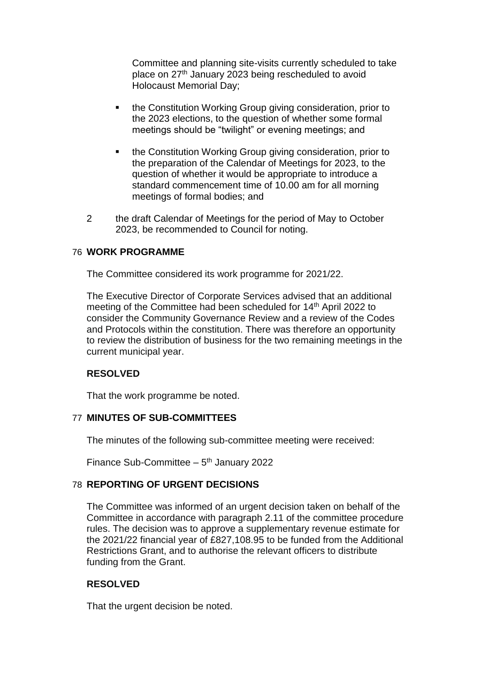Committee and planning site-visits currently scheduled to take place on 27<sup>th</sup> January 2023 being rescheduled to avoid Holocaust Memorial Day;

- **the Constitution Working Group giving consideration, prior to** the 2023 elections, to the question of whether some formal meetings should be "twilight" or evening meetings; and
- **the Constitution Working Group giving consideration, prior to** the preparation of the Calendar of Meetings for 2023, to the question of whether it would be appropriate to introduce a standard commencement time of 10.00 am for all morning meetings of formal bodies; and
- 2 the draft Calendar of Meetings for the period of May to October 2023, be recommended to Council for noting.

### 76 **WORK PROGRAMME**

The Committee considered its work programme for 2021/22.

The Executive Director of Corporate Services advised that an additional meeting of the Committee had been scheduled for 14<sup>th</sup> April 2022 to consider the Community Governance Review and a review of the Codes and Protocols within the constitution. There was therefore an opportunity to review the distribution of business for the two remaining meetings in the current municipal year.

### **RESOLVED**

That the work programme be noted.

### 77 **MINUTES OF SUB-COMMITTEES**

The minutes of the following sub-committee meeting were received:

Finance Sub-Committee  $-5<sup>th</sup>$  January 2022

## 78 **REPORTING OF URGENT DECISIONS**

The Committee was informed of an urgent decision taken on behalf of the Committee in accordance with paragraph 2.11 of the committee procedure rules. The decision was to approve a supplementary revenue estimate for the 2021/22 financial year of £827,108.95 to be funded from the Additional Restrictions Grant, and to authorise the relevant officers to distribute funding from the Grant.

## **RESOLVED**

That the urgent decision be noted.